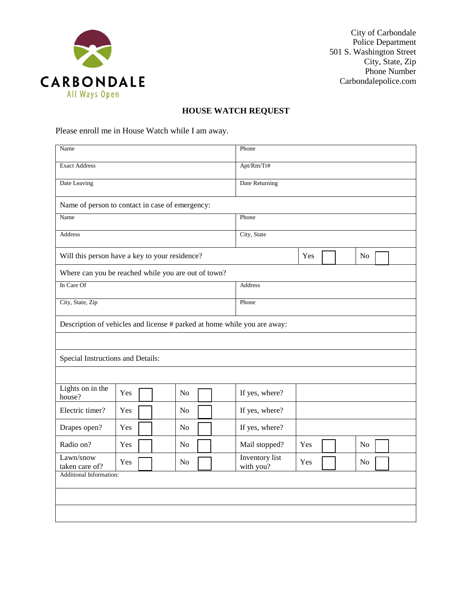

City of Carbondale Police Department 501 S. Washington Street City, State, Zip Phone Number Carbondalepolice.com

## **HOUSE WATCH REQUEST**

Please enroll me in House Watch while I am away.

| Name                                                                     |     |  |  |                |  |            | Phone                       |     |  |  |                |  |  |
|--------------------------------------------------------------------------|-----|--|--|----------------|--|------------|-----------------------------|-----|--|--|----------------|--|--|
| <b>Exact Address</b>                                                     |     |  |  |                |  | Apt/Rm/Tr# |                             |     |  |  |                |  |  |
| Date Leaving                                                             |     |  |  |                |  |            | Date Returning              |     |  |  |                |  |  |
| Name of person to contact in case of emergency:                          |     |  |  |                |  |            |                             |     |  |  |                |  |  |
| Name                                                                     |     |  |  |                |  |            | Phone                       |     |  |  |                |  |  |
| <b>Address</b>                                                           |     |  |  |                |  |            | City, State                 |     |  |  |                |  |  |
| Will this person have a key to your residence?                           |     |  |  |                |  |            |                             | Yes |  |  | No             |  |  |
| Where can you be reached while you are out of town?                      |     |  |  |                |  |            |                             |     |  |  |                |  |  |
| In Care Of                                                               |     |  |  |                |  | Address    |                             |     |  |  |                |  |  |
| City, State, Zip                                                         |     |  |  |                |  | Phone      |                             |     |  |  |                |  |  |
| Description of vehicles and license # parked at home while you are away: |     |  |  |                |  |            |                             |     |  |  |                |  |  |
|                                                                          |     |  |  |                |  |            |                             |     |  |  |                |  |  |
| Special Instructions and Details:                                        |     |  |  |                |  |            |                             |     |  |  |                |  |  |
|                                                                          |     |  |  |                |  |            |                             |     |  |  |                |  |  |
| Lights on in the<br>house?                                               | Yes |  |  | N <sub>o</sub> |  |            | If yes, where?              |     |  |  |                |  |  |
| Electric timer?                                                          | Yes |  |  | No             |  |            | If yes, where?              |     |  |  |                |  |  |
| Drapes open?                                                             | Yes |  |  | N <sub>o</sub> |  |            | If yes, where?              |     |  |  |                |  |  |
| Radio on?                                                                | Yes |  |  | N <sub>o</sub> |  |            | Mail stopped?               | Yes |  |  | N <sub>o</sub> |  |  |
| Lawn/snow<br>taken care of?                                              | Yes |  |  | N <sub>o</sub> |  |            | Inventory list<br>with you? | Yes |  |  | N <sub>0</sub> |  |  |
| Additional Information:                                                  |     |  |  |                |  |            |                             |     |  |  |                |  |  |
|                                                                          |     |  |  |                |  |            |                             |     |  |  |                |  |  |
|                                                                          |     |  |  |                |  |            |                             |     |  |  |                |  |  |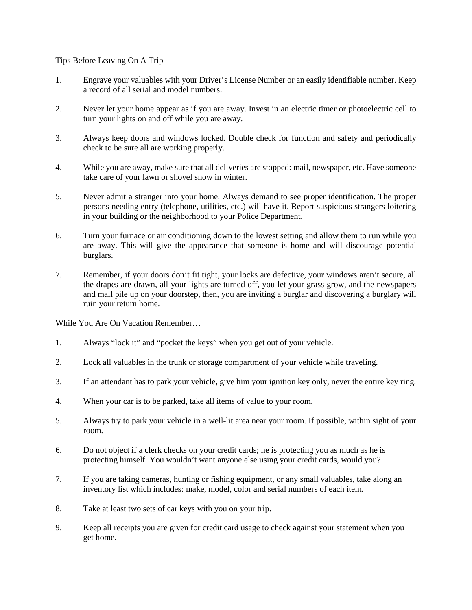Tips Before Leaving On A Trip

- 1. Engrave your valuables with your Driver's License Number or an easily identifiable number. Keep a record of all serial and model numbers.
- 2. Never let your home appear as if you are away. Invest in an electric timer or photoelectric cell to turn your lights on and off while you are away.
- 3. Always keep doors and windows locked. Double check for function and safety and periodically check to be sure all are working properly.
- 4. While you are away, make sure that all deliveries are stopped: mail, newspaper, etc. Have someone take care of your lawn or shovel snow in winter.
- 5. Never admit a stranger into your home. Always demand to see proper identification. The proper persons needing entry (telephone, utilities, etc.) will have it. Report suspicious strangers loitering in your building or the neighborhood to your Police Department.
- 6. Turn your furnace or air conditioning down to the lowest setting and allow them to run while you are away. This will give the appearance that someone is home and will discourage potential burglars.
- 7. Remember, if your doors don't fit tight, your locks are defective, your windows aren't secure, all the drapes are drawn, all your lights are turned off, you let your grass grow, and the newspapers and mail pile up on your doorstep, then, you are inviting a burglar and discovering a burglary will ruin your return home.

While You Are On Vacation Remember…

- 1. Always "lock it" and "pocket the keys" when you get out of your vehicle.
- 2. Lock all valuables in the trunk or storage compartment of your vehicle while traveling.
- 3. If an attendant has to park your vehicle, give him your ignition key only, never the entire key ring.
- 4. When your car is to be parked, take all items of value to your room.
- 5. Always try to park your vehicle in a well-lit area near your room. If possible, within sight of your room.
- 6. Do not object if a clerk checks on your credit cards; he is protecting you as much as he is protecting himself. You wouldn't want anyone else using your credit cards, would you?
- 7. If you are taking cameras, hunting or fishing equipment, or any small valuables, take along an inventory list which includes: make, model, color and serial numbers of each item.
- 8. Take at least two sets of car keys with you on your trip.
- 9. Keep all receipts you are given for credit card usage to check against your statement when you get home.